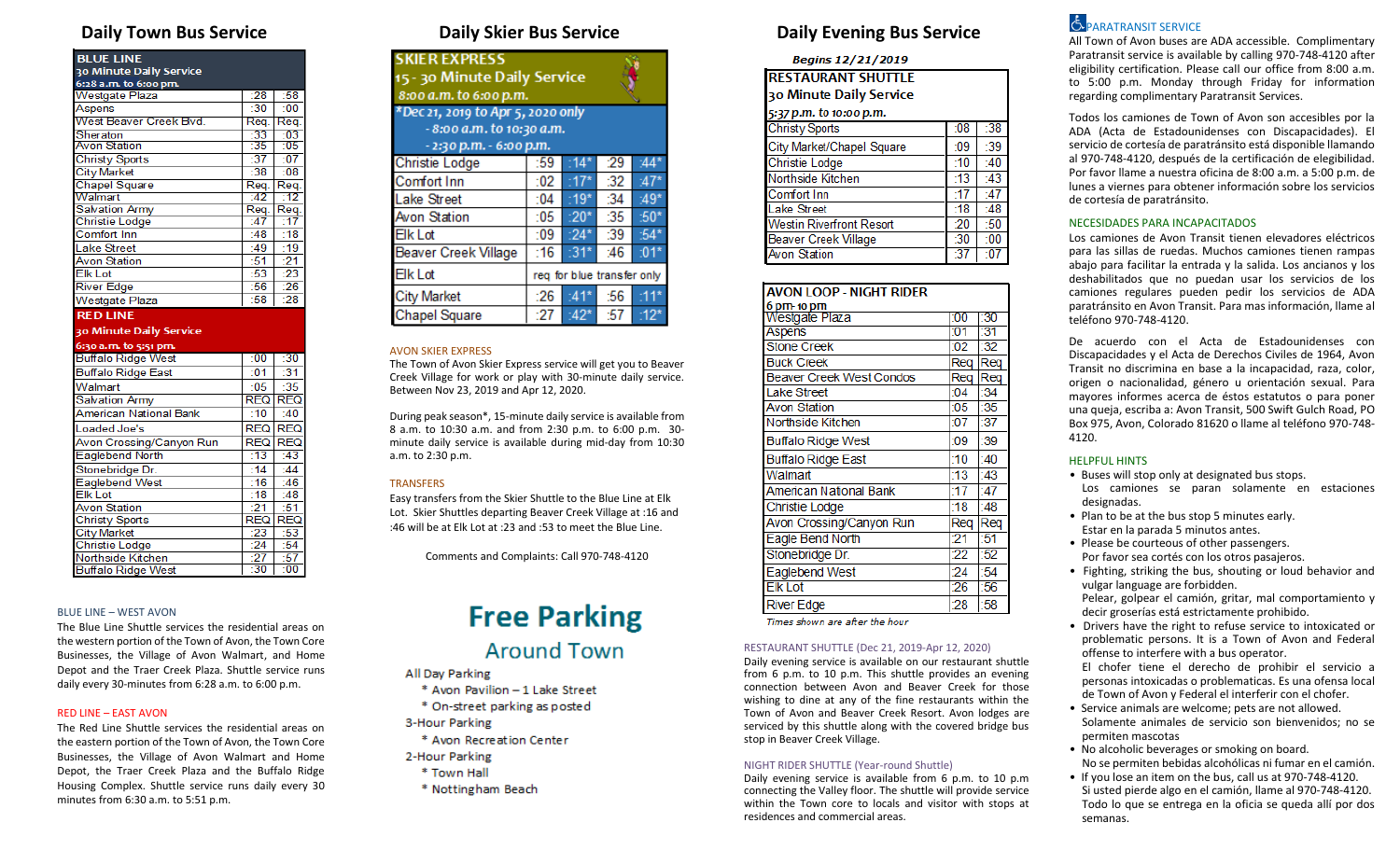| <b>BLUE LINE</b><br>30 Minute Daily Service     |                                       |                                               |
|-------------------------------------------------|---------------------------------------|-----------------------------------------------|
| 6:28 a.m. to 6:00 pm.                           |                                       |                                               |
| Westgate Plaza                                  | :28                                   | :58                                           |
| Aspens                                          | $-30$                                 | $-00$                                         |
| West Beaver Creek Blvd.                         | Req.                                  | Req.                                          |
| Sheraton                                        | $-33$                                 | $-03$                                         |
| Avon Station                                    | :35                                   | :05                                           |
| <b>Christy Sports</b>                           | :37                                   | :07                                           |
| <b>City Market</b>                              | :38                                   | $-08$                                         |
| <b>Chapel Square</b>                            | Req.                                  | Reg.                                          |
| Walmart                                         | -42                                   | -12                                           |
| <b>Salvation Army</b>                           | Req.                                  | Req.                                          |
| <b>Christie Lodge</b>                           | $-47$                                 | :17                                           |
| Comfort Inn                                     | :48                                   | :18                                           |
| <b>Lake Street</b>                              | :49                                   | :19                                           |
| <b>Avon Station</b>                             | :51                                   | : 21                                          |
| Elk Lot                                         | :53                                   | $\overline{23}$                               |
|                                                 |                                       |                                               |
| <b>River Edge</b>                               | :56                                   | :26                                           |
| Westgate Plaza                                  | $-58$                                 | $-28$                                         |
| <b>RED LINE</b>                                 |                                       |                                               |
| 30 Minute Daily Service                         |                                       |                                               |
|                                                 |                                       |                                               |
| 6:30 a.m. to 5:51 pm.                           | :00                                   |                                               |
| <b>Buffalo Ridge West</b>                       | :01                                   | :30                                           |
| Buffalo Ridge East                              |                                       | :31                                           |
| Walmart                                         | :05<br><b>RFQ</b>                     | :35                                           |
| <b>Salvation Army</b><br>American National Bank | :10                                   | <b>REQ</b><br>$-40$                           |
|                                                 |                                       |                                               |
| Loaded Joe's                                    | <b>REQ</b>                            |                                               |
| Avon Crossing/Canyon Run                        | <b>REQ</b>                            |                                               |
| Eaglebend North                                 | :13                                   | :43                                           |
| Stonebridge Dr.                                 | :14                                   | :44                                           |
| Eaglebend West                                  | :16                                   | :46                                           |
| <b>Elk</b> Lot                                  | :18                                   | :48                                           |
| <b>Avon Station</b>                             | $-21$<br><b>REQ</b>                   | : 51                                          |
| <b>Christy Sports</b>                           |                                       |                                               |
| <b>City Market</b>                              | : 23                                  | <b>REQ</b><br><b>REQ</b><br><b>REQ</b><br>:53 |
| Christie Lodge<br>Northside Kitchen             | $\overline{.24}$<br>$\frac{127}{130}$ | :54<br>$\frac{157}{100}$                      |

### BLUE LINE – WEST AVON

The Blue Line Shuttle services the residential areas on the western portion of the Town of Avon, the Town Core Businesses, the Village of Avon Walmart, and Home Depot and the Traer Creek Plaza. Shuttle service runs daily every 30-minutes from 6:28 a.m. to 6:00 p.m.

### RED LINE – EAST AVON

The Red Line Shuttle services the residential areas on the eastern portion of the Town of Avon, the Town Core Businesses, the Village of Avon Walmart and Home Depot, the Traer Creek Plaza and the Buffalo Ridge Housing Complex. Shuttle service runs daily every 30 minutes from 6:30 a.m. to 5:51 p.m.

| <b>SKIER EXPRESS</b><br>15 - 30 Minute Daily Service<br>8:00 a.m. to 6:00 p.m.            |     |        |     |        |
|-------------------------------------------------------------------------------------------|-----|--------|-----|--------|
| *Dec 21, 2019 to Apr 5, 2020 only<br>- 8:00 a.m. to 10:30 a.m.<br>- 2:30 p.m. - 6:00 p.m. |     |        |     |        |
| <b>Christie Lodge</b>                                                                     | :59 | 14-    | :29 | ·44*   |
| Comfort Inn                                                                               | :02 |        | 32  | $:47*$ |
| <b>Lake Street</b>                                                                        | :04 | :19*   | :34 | $:49*$ |
| Avon Station                                                                              | :05 | $:20*$ | 35  | $:50*$ |
| <b>Elk Lot</b>                                                                            | :09 | $:24*$ | :39 | $:54*$ |
| <b>Beaver Creek Village</b>                                                               | :16 | $:31*$ | :46 | $:01*$ |
| <b>Elk Lot</b><br>req for blue transfer only                                              |     |        |     |        |
| <b>City Market</b>                                                                        | :26 | $-41*$ | :56 | $-11*$ |
| <b>Chapel Square</b>                                                                      | :27 | $142*$ | :57 | :12*   |

### AVON SKIER EXPRESS

The Town of Avon Skier Express service will get you to Beaver Creek Village for work or play with 30-minute daily service. Between Nov 23, 2019 and Apr 12, 2020.

During peak season\*, 15-minute daily service is available from 8 a.m. to 10:30 a.m. and from 2:30 p.m. to 6:00 p.m. 30 minute daily service is available during mid-day from 10:30 a.m. to 2:30 p.m.

# **TRANSFERS**

Easy transfers from the Skier Shuttle to the Blue Line at Elk Lot. Skier Shuttles departing Beaver Creek Village at :16 and :46 will be at Elk Lot at :23 and :53 to meet the Blue Line.

Comments and Complaints: Call 970-748-4120

# **Free Parking**

# **Around Town**

- All Day Parking
- \* Avon Pavilion 1 Lake Street \* On-street parking as posted 3-Hour Parking \* Avon Recreation Center
- 2-Hour Parking
- \* Town Hall
- \* Nottingham Beach

# **Daily Town Bus Service Daily Skier Bus Service Daily Evening Bus Service**

# **Begins 12/21/2019**

**RESTAURANT SHUTTLE** 30 Minute Daily Service

| 5:37 p.m. to 10:00 p.m. |  |  |
|-------------------------|--|--|
|                         |  |  |

| <b>Christy Sports</b>           | :08 | :38   |  |
|---------------------------------|-----|-------|--|
| City Market/Chapel Square       | :09 | :39   |  |
| <b>Christie Lodge</b>           | :10 | :40   |  |
| Northside Kitchen               | :13 | :43   |  |
| <b>Comfort Inn</b>              | :17 | :47   |  |
| Lake Street                     | :18 | $-48$ |  |
| <b>Westin Riverfront Resort</b> | :20 | :50   |  |
| <b>Beaver Creek Village</b>     | :30 | :00   |  |
| <b>Avon Station</b>             | -37 |       |  |

| <b>AVON LOOP - NIGHT RIDER</b> |     |      |
|--------------------------------|-----|------|
| 6 pm- 10 pm                    |     |      |
| Westgate Plaza                 | 100 | :30  |
| Aspens                         | 101 | :31  |
| <b>Stone Creek</b>             | :02 | :32  |
| <b>Buck Creek</b>              | Rea | Reg  |
| Beaver Creek West Condos       | Req | Req  |
| Lake Street                    | 04  | :34  |
| <b>Avon Station</b>            | :05 | :35  |
| Northside Kitchen              | :07 | :37  |
| Buffalo Ridge West             | :09 | :39  |
| <b>Buffalo Ridge East</b>      | :10 | 140  |
| Walmart                        | :13 | :43  |
| American National Bank         | 17  | :47  |
| Christie Lodge                 | :18 | :48  |
| Avon Crossing/Canyon Run       | Req | Rea  |
| Eagle Bend North               | 21  | : 51 |
| Stonebridge Dr.                | :22 | :52  |
| Eaglebend West                 | :24 | :54  |
| <b>Elk Lot</b>                 | :26 | :56  |
| <b>River Edge</b>              | :28 | :58  |

Times shown are after the hour

# RESTAURANT SHUTTLE (Dec 21, 2019-Apr 12, 2020)

Daily evening service is available on our restaurant shuttle from 6 p.m. to 10 p.m. This shuttle provides an evening connection between Avon and Beaver Creek for those wishing to dine at any of the fine restaurants within the Town of Avon and Beaver Creek Resort. Avon lodges are serviced by this shuttle along with the covered bridge bus stop in Beaver Creek Village.

# NIGHT RIDER SHUTTLE (Year-round Shuttle)

Daily evening service is available from 6 p.m. to 10 p.m connecting the Valley floor. The shuttle will provide service within the Town core to locals and visitor with stops at residences and commercial areas.

# **E** PARATRANSIT SERVICE

All Town of Avon buses are ADA accessible. Complimentary Paratransit service is available by calling 970-748-4120 after eligibility certification. Please call our office from 8:00 a.m. to 5:00 p.m. Monday through Friday for information regarding complimentary Paratransit Services.

Todos los camiones de Town of Avon son accesibles por la ADA (Acta de Estadounidenses con Discapacidades). El servicio de cortesía de paratránsito está disponible llamando al 970-748-4120, después de la certificación de elegibilidad. Por favor llame a nuestra oficina de 8:00 a.m. a 5:00 p.m. de lunes a viernes para obtener información sobre los servicios de cortesía de paratránsito.

# NECESIDADES PARA INCAPACITADOS

Los camiones de Avon Transit tienen elevadores eléctricos para las sillas de ruedas. Muchos camiones tienen rampas abajo para facilitar la entrada y la salida. Los ancianos y los deshabilitados que no puedan usar los servicios de los camiones regulares pueden pedir los servicios de ADA paratránsito en Avon Transit. Para mas información, llame al teléfono 970-748-4120.

De acuerdo con el Acta de Estadounidenses con Discapacidades y el Acta de Derechos Civiles de 1964, Avon Transit no discrimina en base a la incapacidad, raza, color, origen o nacionalidad, género u orientación sexual. Para mayores informes acerca de éstos estatutos o para poner una queja, escriba a: Avon Transit, 500 Swift Gulch Road, PO Box 975, Avon, Colorado 81620 o llame al teléfono 970-748- 4120.

# HELPFUL HINTS

- Buses will stop only at designated bus stops. Los camiones se paran solamente en estaciones designadas.
- Plan to be at the bus stop 5 minutes early. Estar en la parada 5 minutos antes.
- Please be courteous of other passengers. Por favor sea cortés con los otros pasajeros.
- Fighting, striking the bus, shouting or loud behavior and vulgar language are forbidden.
- Pelear, golpear el camión, gritar, mal comportamiento y decir groserías está estrictamente prohibido.
- Drivers have the right to refuse service to intoxicated or problematic persons. It is a Town of Avon and Federal offense to interfere with a bus operator.

El chofer tiene el derecho de prohibir el servicio a personas intoxicadas o problematicas. Es una ofensa local de Town of Avon y Federal el interferir con el chofer.

- Service animals are welcome; pets are not allowed. Solamente animales de servicio son bienvenidos; no se permiten mascotas
- No alcoholic beverages or smoking on board. No se permiten bebidas alcohólicas ni fumar en el camión.
- If you lose an item on the bus, call us at 970-748-4120. Si usted pierde algo en el camión, llame al 970-748-4120. Todo lo que se entrega en la oficia se queda allí por dos semanas.